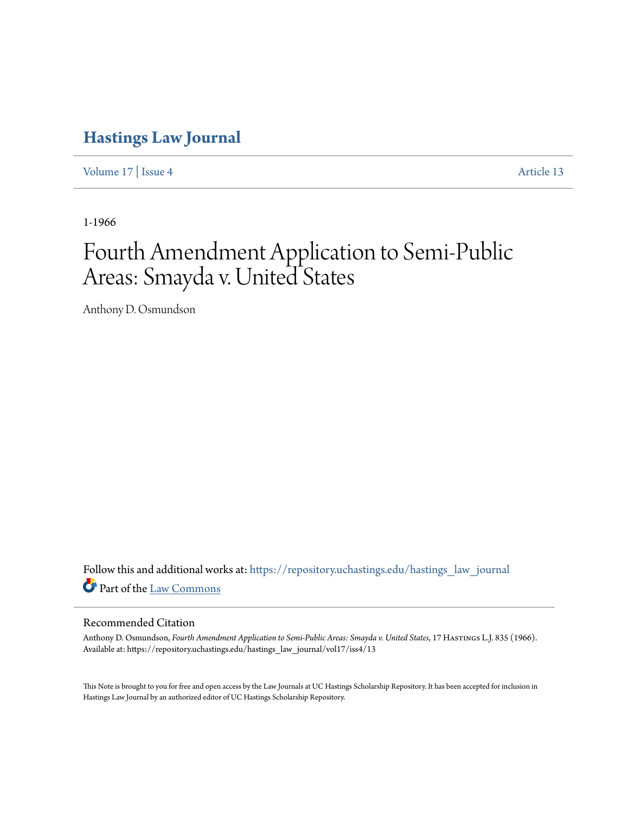# **[Hastings Law Journal](https://repository.uchastings.edu/hastings_law_journal?utm_source=repository.uchastings.edu%2Fhastings_law_journal%2Fvol17%2Fiss4%2F13&utm_medium=PDF&utm_campaign=PDFCoverPages)**

[Volume 17](https://repository.uchastings.edu/hastings_law_journal/vol17?utm_source=repository.uchastings.edu%2Fhastings_law_journal%2Fvol17%2Fiss4%2F13&utm_medium=PDF&utm_campaign=PDFCoverPages) | [Issue 4](https://repository.uchastings.edu/hastings_law_journal/vol17/iss4?utm_source=repository.uchastings.edu%2Fhastings_law_journal%2Fvol17%2Fiss4%2F13&utm_medium=PDF&utm_campaign=PDFCoverPages) [Article 13](https://repository.uchastings.edu/hastings_law_journal/vol17/iss4/13?utm_source=repository.uchastings.edu%2Fhastings_law_journal%2Fvol17%2Fiss4%2F13&utm_medium=PDF&utm_campaign=PDFCoverPages)

1-1966

# Fourth Amendment Application to Semi-Public Areas: Smayda v. United States

Anthony D. Osmundson

Follow this and additional works at: [https://repository.uchastings.edu/hastings\\_law\\_journal](https://repository.uchastings.edu/hastings_law_journal?utm_source=repository.uchastings.edu%2Fhastings_law_journal%2Fvol17%2Fiss4%2F13&utm_medium=PDF&utm_campaign=PDFCoverPages) Part of the [Law Commons](http://network.bepress.com/hgg/discipline/578?utm_source=repository.uchastings.edu%2Fhastings_law_journal%2Fvol17%2Fiss4%2F13&utm_medium=PDF&utm_campaign=PDFCoverPages)

### Recommended Citation

Anthony D. Osmundson, *Fourth Amendment Application to Semi-Public Areas: Smayda v. United States*, 17 Hastings L.J. 835 (1966). Available at: https://repository.uchastings.edu/hastings\_law\_journal/vol17/iss4/13

This Note is brought to you for free and open access by the Law Journals at UC Hastings Scholarship Repository. It has been accepted for inclusion in Hastings Law Journal by an authorized editor of UC Hastings Scholarship Repository.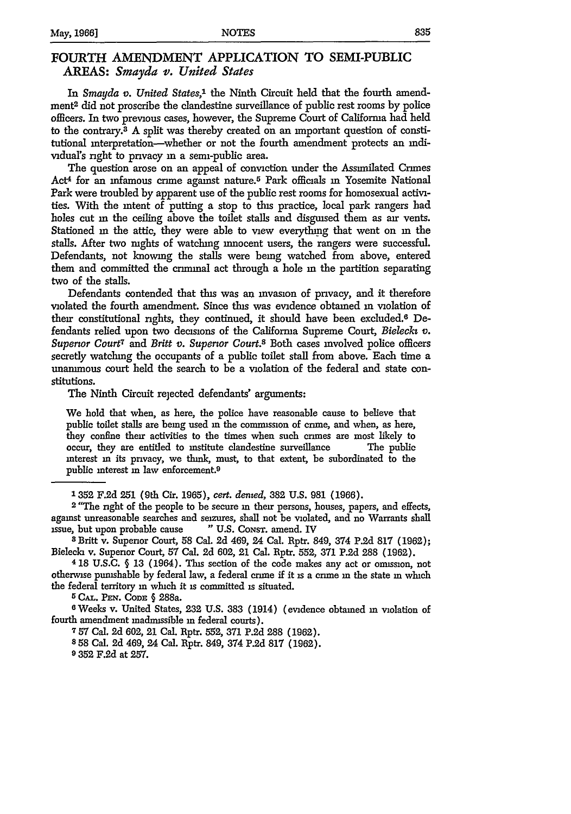## FOURTH **AMENDMENT** APPLICATION TO SEMI-PUBLIC **AREAS:** *Smayda v. United States*

In *Smayda v. United States,'* the Ninth Circuit held that the fourth amendment2 did not proscribe the clandestine surveillance of public rest rooms by police officers. In two previous cases, however, the Supreme Court of California had held to the contrary.8 A split was thereby created on an important question of constitutional interpretation-whether or not the fourth amendment protects an mdividual's right to privacy in a semi-public area.

The question arose on an appeal of conviction under the Assimilated Crimes Act4 for an infamous crime against nature. 5 Park officials **in** Yosemite National Park were troubled by apparent use of the public rest rooms for homosexual activities. With the intent of putting a stop to this practice, local park rangers had holes cut in the ceiling above the toilet stalls and disguised them as air vents. Stationed in the attic, they were able to view everything that went on in the stalls. After two nights of watching innocent users, the rangers were successful. Defendants, not knowing the stalls were being watched from above, entered them and committed the criminal act through a hole in the partition separating two of the stalls.

Defendants contended that this was an invasion of privacy, and it therefore violated the fourth amendment. Since this was evidence obtained **in** violation of their constitutional rights, they continued, it should have been excluded.<sup>6</sup> Defendants relied upon two decisions of the California Supreme Court, *Bieleckz v. Superior Court7* and *Britt v. Superior Court.8* Both cases involved police officers secretly watching the occupants of a public toilet stall from above. Each time a unammous court held the search to be a violation of the federal and state constitutions.

The Ninth Circuit rejected defendants' arguments:

We hold that when, as here, the police have reasonable cause to believe that public toilet stalls are being used in the commission of crime, and when, as here, they confine their activities to the times when such crimes are most likely to occur, they are entitled to institute clandestine surveillance The public interest m its privacy, we think, must, to that extent, be subordinated to the public interest in law enforcement.<sup>9</sup>

**2** *"The* right of the people to be secure in their persons, houses, papers, and effects, against unreasonable searches and seizures, shall not be violated, and no Warrants shall issue, but upon probable cause **"** U.S. CoNsT. amend. IV **<sup>8</sup>**Britt v. Superior Court, 58 Cal. 2d 469, 24 Cal. Rptr. 849, 374 P.2d **817** (1962);

**<sup>4</sup>**18 U.S.C. **§** 13 (1964). This section of the code makes any act or omission, not otherwise pumshable by federal law, a federal crime if it is a crime **in** the state **in** which the federal territory **in** which it is committed is situated.

5 **CAL. PEN.** CODE **§** 288a.

6Weeks v. United States, **232** U.S. **383** (1914) (evidence obtained in violation of fourth amendment madmissible **in** federal courts).

757 Cal. **2d** 602, 21 Cal. Rptr. 552, **371** P.2d **288** (1962).

**8 58** Cal. **2d** 469, 24 Cal. Rptr. 849, 374 **P.2d 817** (1962).

**9 352 F.2d** at **257.**

**<sup>1352</sup> F.2d 251** (9th Cir. 1965), *cert. dented,* 382 U.S. 981 (1966).

Bielecla v. Supenor Court, 57 Cal. **2d** 602, 21 Cal. Rptr. 552, **371 P.2d** 288 (1962).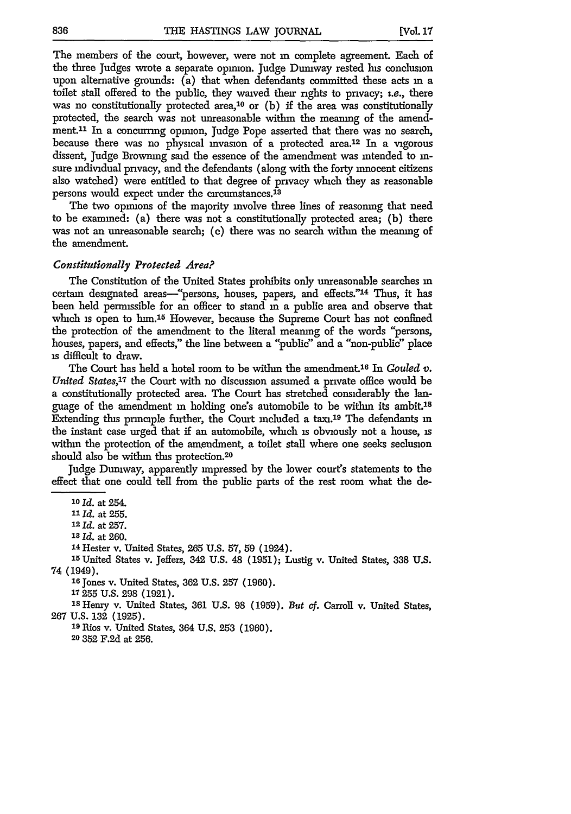The members of the court, however, were not **in** complete agreement. Each of the three Judges wrote a separate opinion. Judge Dumway rested his conclusion upon alternative grounds: (a) that when defendants committed these acts in a toilet stall offered to the public, they waived their rights to privacy; i.e., there was no constitutionally protected area,<sup>10</sup> or  $(b)$  if the area was constitutionally protected, the search was not unreasonable within the meaning of the amendment.<sup>11</sup> In a concurring opinion, Judge Pope asserted that there was no search, because there was no physical invasion of a protected area.<sup>12</sup> In a vigorous dissent, Judge Browning said the essence of the amendment was intended to insure individual privacy, and the defendants (along with the forty innocent citizens also watched) were entitled to that degree of privacy which they as reasonable persons would expect under the circumstances.<sup>18</sup>

The two opinions of the majority involve three lines of reasoning that need to be examined: (a) there was not a constitutionally protected area; (b) there was not an unreasonable search; (c) there was no search within the meaning of the amendment.

#### *Constitutionally Protected Area?*

The Constitution of the United States prohibits only unreasonable searches **in** certain designated areas-"persons, houses, papers, and effects."<sup>14</sup> Thus, it has been held permissible for an officer to stand **in** a public area and observe that which is open to him.<sup>15</sup> However, because the Supreme Court has not confined the protection of the amendment to the literal meaning of the words "persons, houses, papers, and effects," the line between a "public" and a "non-public" place **is** difficult to draw.

The Court has held a hotel room to be within the amendment.<sup>16</sup> In *Gouled v. United States,ir* the Court with no discussion assumed a private office would be a constitutionally protected area. The Court has stretched considerably the language of the amendment in holding one's automobile to be within its ambit.<sup>18</sup> Extending this principle further, the Court included a taxi.<sup>19</sup> The defendants in the instant case urged that if an automobile, which **is** obviously not a house, is within the protection of the amendment, a toilet stall where one seeks seclusion should also be within this protection.<sup>20</sup>

Judge Duniway, apparently impressed by the lower court's statements to the effect that one could tell from the public parts of the rest room what the de-

**<sup>10</sup>**id. at 254.

**11 Id.** at 255.

**<sup>12</sup>***Id.* at 257.

**<sup>13</sup>Id.** at 260.

14 Hester v. United States, 265 U.S. 57, 59 (1924).

' 5 United States v. Jeffers, 342 U.S. 48 (1951); Lustig v. United States, 338 U.S. 74 (1949).

**<sup>16</sup>**Jones v. United States, **362** U.S. **257** (1960).

**<sup>17</sup>**255 U.S. **298 (1921).**

**IS** Henry v. United States, **361** U.S. **98** (1959). *But* **cf.** Carroll v. United States, **267** U.S. **132** (1925).

**<sup>19</sup>**Rios v. United States, 364 U.S. **253** (1960). **20 352** F.2d at 256.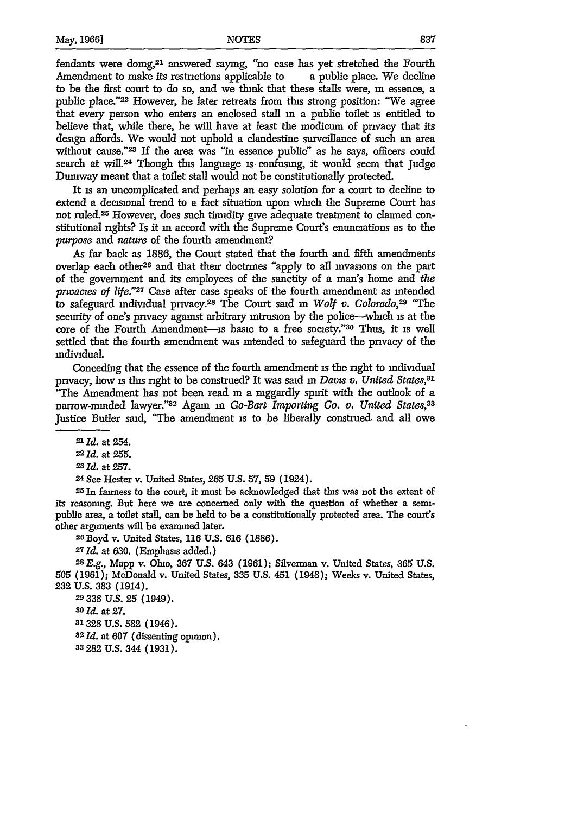fendants were doing,<sup>21</sup> answered saying, "no case has yet stretched the Fourth Amendment to make its restrictions applicable to a public place. We decline to be the first court to do so, and we think that these stalls were, **in** essence, a public place."22 However, he later retreats from this strong position: "We agree that every person who enters an enclosed stall in a public toilet is entitled to believe that, while there, he will have at least the modicum of privacy that its design affords. We would not uphold a clandestine surveillance of such an area without cause."23 If the area was **"in** essence public" as he says, officers could search at wil.24 Though this language **is** confusing, it would seem that Judge Dumway meant that a toilet stall would not be constitutionally protected.

It is an uncomplicated and perhaps an easy solution for a court to decline to extend a decisional trend to a fact situation upon which the Supreme Court has not ruled.<sup>25</sup> However, does such timidity give adequate treatment to claimed constitutional rights? Is it **in** accord with the Supreme Court's enunciations as to the *purpose and nature* of the fourth amendment?

As far back as 1886, the Court stated that the fourth and fifth amendments overlap each other26 and that their doctrines "apply to all invasions on the part of the government and its employees of the sanctity of a man's home and *the prtvacies of life."27* Case after case speaks of the fourth amendment as intended to safeguard individual privacy.28 The Court said in *Wolf v. Colorado,29* "The security of one's privacy against arbitrary intrusion by the police-which **is** at the core of the Fourth Amendment-is basic to a free society."30 Thus, it **is** well settled that the fourth amendment was intended to safeguard the privacy of the individual.

Conceding that the essence of the fourth amendment **is** the right to individual privacy, how **is** this right to be construed? It was said *in Davs v. United States,81* "The Amendment has not been read in a mggardly spirit with the outlook of a narrow-minded lawyer."<sup>32</sup> Again in *Go-Bart Importing Co. v. United States*,<sup>33</sup> Justice Butler said, "The amendment is to be liberally construed and all owe

24 See Hester v. United States, **265** U.S. **57, 59** (1924).

25 In fairness to the court, it must be acknowledged that this was not the extent of its reasoning. But here we are concerned only with the question of whether a semipublic area, a toilet stall, can be held to be a constitutionally protected area. The court's other arguments will be examined later.

26 Boyd v. United States, **116** U.S. 616 (1886).

**<sup>27</sup>***Id.* at 630. (Emphasis added.)

*28E.g.,* Mapp v. Ohio, **367** U.S. 643 (1961); Silverman v. United States, **365** U.S. **505** (1961); McDonald v. United States, **335** U.S. 451 (1948); Weeks v. United States, **232 U.S. 383** (1914).

29 **338 U.S. 25** (1949). *80 Id.* at **27. 31328 U.S. 582** (1946). *82 Id.* at **607** (dissenting opinion). **s3 282 U.S.** 344 **(1931).**

*<sup>21</sup>***Id.** at 254.

<sup>22</sup>*Id.* at 255.

**<sup>23</sup>** *Id.* at 257.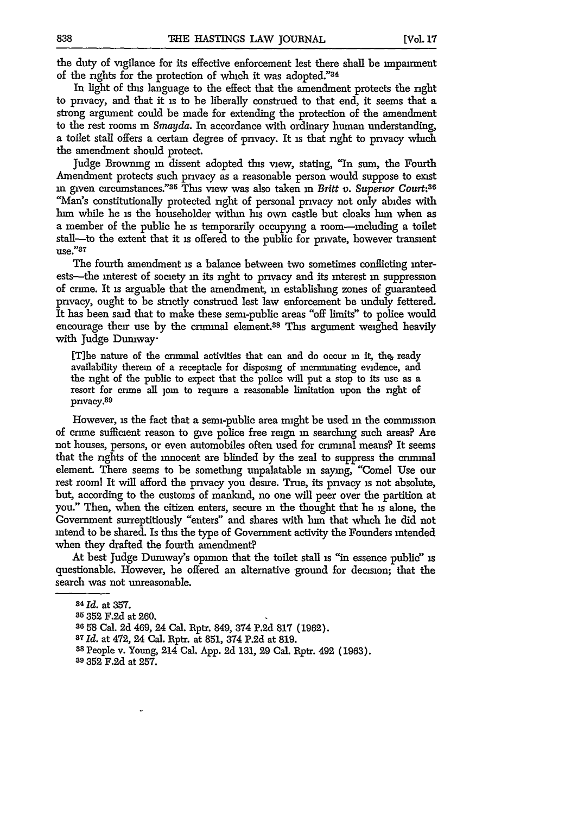the duty of vigilance for its effective enforcement lest there shall be impairment of the rights for the protection of which it was adopted."84

In light of this language to the effect that the amendment protects the right to privacy, and that it is to be liberally construed to that end, it seems that a strong argument could be made for extending the protection of the amendment to the rest rooms m *Smayda.* In accordance with ordinary human understanding, a toilet stall offers a certain degree of privacy. It is that right to privacy which the amendment should protect.

Judge Browning **in** dissent adopted this view, stating, **"In** sum, the Fourth Amendment protects such privacy as a reasonable person would suppose to exist in given circumstances." <sup>35</sup> This view was also taken in *Britt v. Superior Court*:<sup>36</sup> "Man's constitutionally protected right of personal privacy not only abides with **him** while he is the householder within his own castle but cloaks him when as a member of the public he is temporarily occupying a room-mcluding a toilet stall--to the extent that it is offered to the public for private, however transient use."37

The fourth amendment is a balance between two sometimes conflicting interests-the interest of society **in** its right to privacy and its interest **in** suppression of crime. It is arguable that the amendment, in establishing zones of guaranteed privacy, ought to be strictly construed lest law enforcement be unduly fettered. It has been said that to make these semi-public areas "off limits" to police would encourage their use by the criminal element.<sup>38</sup> This argument weighed heavily with Judge Dumway.

[Tihe nature of the criminal activities that can and do occur **in it,** the ready availability therein of a receptacle for disposing of incriminating evidence, and the right of the public to expect that the police will put a stop to its use as a resort for crime all join to require a reasonable limitation upon the right of privacy.<sup>89</sup>

However, is the fact that a semi-public area might be used **in** the commission of crime sufficient reason to give police free reign **in** searching such areas? Are not houses, persons, or even automobiles often used for criminal means? It seems that the rights of the innocent are blinded by the zeal to suppress the criminal element. There seems to be something unpalatable **in** saying, "Comel Use our rest rooml It will afford the privacy you desire. True, its privacy **is** not absolute, but, according to the customs of mankind, no one will peer over the partition at you." Then, when the citizen enters, secure **in** the thought that he **is** alone, the Government surreptitiously "enters" and shares with hun that which he did not intend to be shared. Is this the type of Government activity the Founders intended when they drafted the fourth amendment?

At best Judge Dumway's opunon that the toilet stall is "in essence public" is questionable. However, he offered an alternative ground for decision; that the search was not unreasonable.

**<sup>84</sup>** *Id.* at 357.

**<sup>85</sup>** 352 F.2d at 260.

**<sup>36,58</sup>** Cal. 2d 469, 24 Cal. Rptr. 849, 374 P.2d 817 (1962).

**<sup>87</sup>***Id.* at 472, 24 Cal. Rptr. at 851, 374 P.2d at 819.

**<sup>38</sup>** People v. Young, 214 Cal. App. 2d 131, 29 Cal. Rptr. 492 (1963).

**<sup>89</sup>**352 F.2d at 257.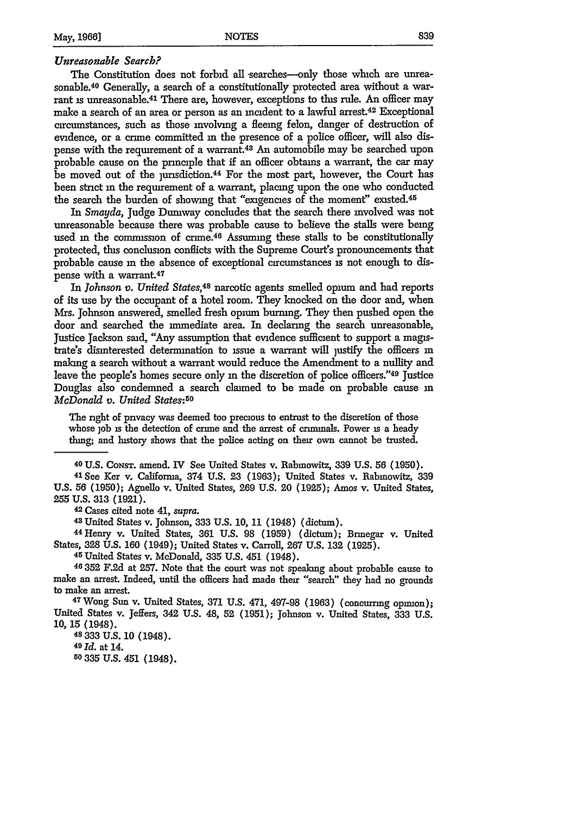#### *Unreasonable Search?*

The Constitution does not forbid all searches---only those which are unreasonable.40 Generally, a search of a constitutionally protected area without a warrant is unreasonable.<sup>41</sup> There are, however, exceptions to this rule. An officer may make a search of an area or person as an incident to a lawful arrest.<sup>42</sup> Exceptional circumstances, such as those involving a fleeing felon, danger of destruction of evidence, or a crime committed **in** the presence of a police officer, will also dispense with the requirement of a warrant.43 An automobile may be searched upon probable cause on the principle that if an officer obtains a warrant, the car may be moved out of the jurisdiction.<sup>44</sup> For the most part, however, the Court has been strict in the requirement of a warrant, placing upon the one who conducted the search the burden of showing that "exigencies of the moment" existed.<sup>45</sup>

In *Smayda,* Judge Dumway concludes that the search there involved was not unreasonable because there was probable cause to believe the stalls were being used in the commission of crime.<sup>46</sup> Assuming these stalls to be constitutionally protected, this conclusion conflicts with the Supreme Court's pronouncements that probable cause **in** the absence of exceptional circumstances is not enough to dispense with a warrant.<sup>41</sup>

In *Johnson v. United States,48* narcotic agents smelled opium and had reports of its use by the occupant of a hotel room. They knocked on the door and, when Mrs. Johnson answered, smelled fresh opium burning. They then pushed open the door and searched the immediate area. In declaring the search unreasonable, Justice Jackson said, "Any assumption that evidence sufficient to support a magistrate's disinterested determination to issue a warrant will justify the officers **in** making a search without a warrant would reduce the Amendment to a nullity and leave the people's homes secure only in the discretion of police officers."<sup>49</sup> Justice Douglas also condemned a search claimed to be made on probable cause in *McDonald v. United States:50*

The right of privacy was deemed too precious to entrust to the discretion of those whose **job** is the detection of crime and the arrest of criminals. Power is a heady thing; and history shows that the police acting on their own cannot be trusted.

40 U.S. CONST. amend. IV See United States v. Rabmowitz, **339** U.S. **56** (1950). <sup>41</sup> See Ker v. California, 374 U.S. **23 (1963);** United States v. Rabmowitz, **<sup>339</sup> U.S. 56 (1950);** Agnello v. United States, 269 U.S. 20 (1925); Amos v. United States, **255 U.S. 313 (1921).** 42 Cases cited note 41, *supra.* <sup>4</sup> 3 United States v. Johnson, **333** U.S. 10, 11 (1948) (dictum). <sup>44</sup> Henry v. United States, **361** U.S. 98 (1959) (dictum); Brinegar v. United

States, **328 U.S. 160** (1949); United States v. Carroll, **267 U.S. 132** (1925).

45 United States v. McDonald, **335** U.S. 451 (1948).

<sup>46</sup>**352 F.2d** at 257. Note that the court was not speaking about probable cause to make an arrest. Indeed, until the officers had made their "search" they had no grounds to make an arrest.

7Wong Sun v. United States, **371** U.S. 471, 497-98 **(1963)** (concurring opinion); United States v. Jeffers, 342 U.S. 48, 52 **(1951);** Johnson v. United States, **333** U.S. 10, 15 (1948).

**48 333** U.S. 10 (1948).

**49** *Id.* at 14.

**50 335** U.S. 451 (1948).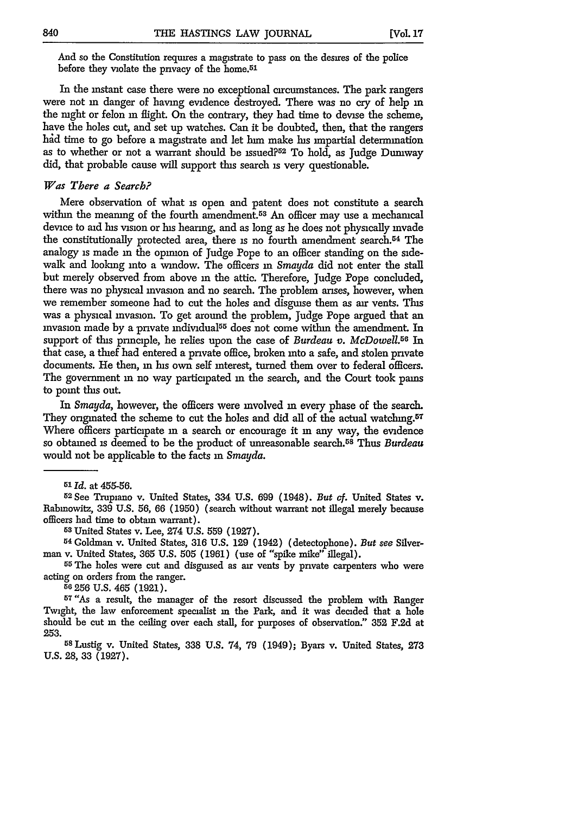And so the Constitution requires a magistrate to pass on the desires of the police before they violate the privacy of the home.51

In the instant case there were no exceptional circumstances. The park rangers were not **in** danger of having evidence destroyed. There was no cry of help **m** the night or felon in flight. On the contrary, they had time to devise the scheme, have the holes cut, and set up watches. Can it be doubted, then, that the rangers had time to go before a magistrate and let him make his impartial determination as to whether or not a warrant should be issued?<sup>52</sup> To hold, as Judge Duniway did, that probable cause will support this search is very questionable.

#### *Was There a Search?*

Mere observation of what **is** open and patent does not constitute a search within the meaning of the fourth amendment.<sup>53</sup> An officer may use a mechanical device to aid his vision or his hearing, and as long as he does not physically invade the constitutionally protected area, there is no fourth amendment search.54 The analogy is made in the opinion of Judge Pope to an officer standing on the sidewalk and looking into a window. The officers **in** *Smayda* did not enter the stall but merely observed from above m the attic. Therefore, Judge Pope concluded, there was no physical invasion and no search. The problem arises, however, when we remember someone had to cut the holes and disguise them as air vents. This was a physical invasion. To get around the problem, Judge Pope argued that an invasion made by a private individual55 does not come within the amendment. In support of this principle, he relies upon the case of *Burdeau v. McDowell.5 6* In that case, a thief had entered a private office, broken into a safe, and stolen private documents. He then, **in** his own self mterest, turned them over to federal officers. The government **in** no way participated **in** the search, and the Court took pains to point this out.

In *Smayda*, however, the officers were involved in every phase of the search. They originated the scheme to cut the holes and did all of the actual watching.<sup>57</sup> Where officers participate in a search or encourage it in any way, the evidence so obtained **is** deemed to be the product of unreasonable search. 58 Thus *Burdeau* would not be applicable to the facts in *Smayda.*

**<sup>52</sup> See** Trupiano v. United States, 334 U.S. 699 (1948). *But* **of.** United States v. Rabinowitz, 339 U.S. 56, 66 (1950) (search without warrant not illegal merely because officers had time to obtain warrant).

**<sup>53</sup>**United States v. Lee, 274 U.S. 559 (1927).

**54** Goldman v. United States, **316** U.S. 129 (1942) (detectophone). *But see* Silverman v. United States, **365** U.S. 505 (1961) (use of "spike mike" illegal).

**55 The** holes were cut and disguised as air vents **by** private carpenters who were acting on orders from the ranger. **56 256** U.S. 465 (1921).

**<sup>57</sup>**"As a result, the manager of the resort discussed the problem with Ranger Twight, the law enforcement specialist **in** the Park, and it was decided that a hole should be cut **in** the ceiling over each stall, for purposes of observation." **352 F.2d** at 253.

5s Lustig v. United States, **338** U.S. 74, 79 (1949); Byars v. United States, **273** U.S. 28, 33 (1927).

*<sup>51</sup>Id.* at 455-56.